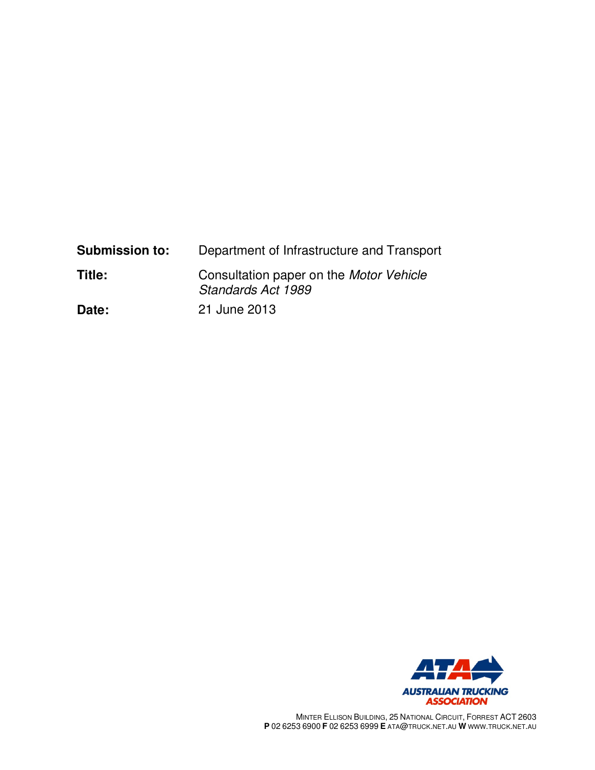| <b>Submission to:</b> | Department of Infrastructure and Transport                           |
|-----------------------|----------------------------------------------------------------------|
| Title:                | Consultation paper on the <i>Motor Vehicle</i><br>Standards Act 1989 |
| Date:                 | 21 June 2013                                                         |



MINTER ELLISON BUILDING, 25 NATIONAL CIRCUIT, FORREST ACT 2603 **P** 02 6253 6900 **F** 02 6253 6999 **E** ATA@TRUCK.NET.AU **W** WWW.TRUCK.NET.AU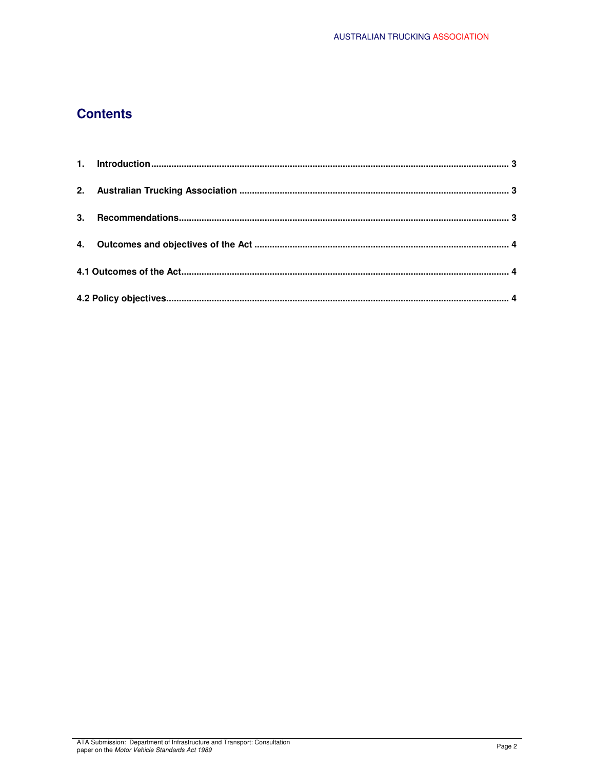# **Contents**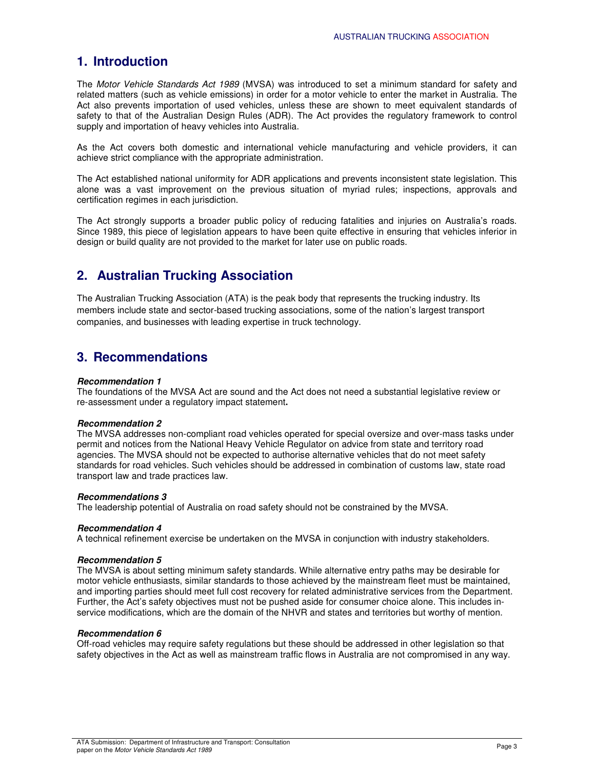## **1. Introduction**

The Motor Vehicle Standards Act 1989 (MVSA) was introduced to set a minimum standard for safety and related matters (such as vehicle emissions) in order for a motor vehicle to enter the market in Australia. The Act also prevents importation of used vehicles, unless these are shown to meet equivalent standards of safety to that of the Australian Design Rules (ADR). The Act provides the regulatory framework to control supply and importation of heavy vehicles into Australia.

As the Act covers both domestic and international vehicle manufacturing and vehicle providers, it can achieve strict compliance with the appropriate administration.

The Act established national uniformity for ADR applications and prevents inconsistent state legislation. This alone was a vast improvement on the previous situation of myriad rules; inspections, approvals and certification regimes in each jurisdiction.

The Act strongly supports a broader public policy of reducing fatalities and injuries on Australia's roads. Since 1989, this piece of legislation appears to have been quite effective in ensuring that vehicles inferior in design or build quality are not provided to the market for later use on public roads.

## **2. Australian Trucking Association**

The Australian Trucking Association (ATA) is the peak body that represents the trucking industry. Its members include state and sector-based trucking associations, some of the nation's largest transport companies, and businesses with leading expertise in truck technology.

## **3. Recommendations**

## **Recommendation 1**

The foundations of the MVSA Act are sound and the Act does not need a substantial legislative review or re-assessment under a regulatory impact statement**.** 

### **Recommendation 2**

The MVSA addresses non-compliant road vehicles operated for special oversize and over-mass tasks under permit and notices from the National Heavy Vehicle Regulator on advice from state and territory road agencies. The MVSA should not be expected to authorise alternative vehicles that do not meet safety standards for road vehicles. Such vehicles should be addressed in combination of customs law, state road transport law and trade practices law.

### **Recommendations 3**

The leadership potential of Australia on road safety should not be constrained by the MVSA.

### **Recommendation 4**

A technical refinement exercise be undertaken on the MVSA in conjunction with industry stakeholders.

### **Recommendation 5**

The MVSA is about setting minimum safety standards. While alternative entry paths may be desirable for motor vehicle enthusiasts, similar standards to those achieved by the mainstream fleet must be maintained, and importing parties should meet full cost recovery for related administrative services from the Department. Further, the Act's safety objectives must not be pushed aside for consumer choice alone. This includes inservice modifications, which are the domain of the NHVR and states and territories but worthy of mention.

### **Recommendation 6**

Off-road vehicles may require safety regulations but these should be addressed in other legislation so that safety objectives in the Act as well as mainstream traffic flows in Australia are not compromised in any way.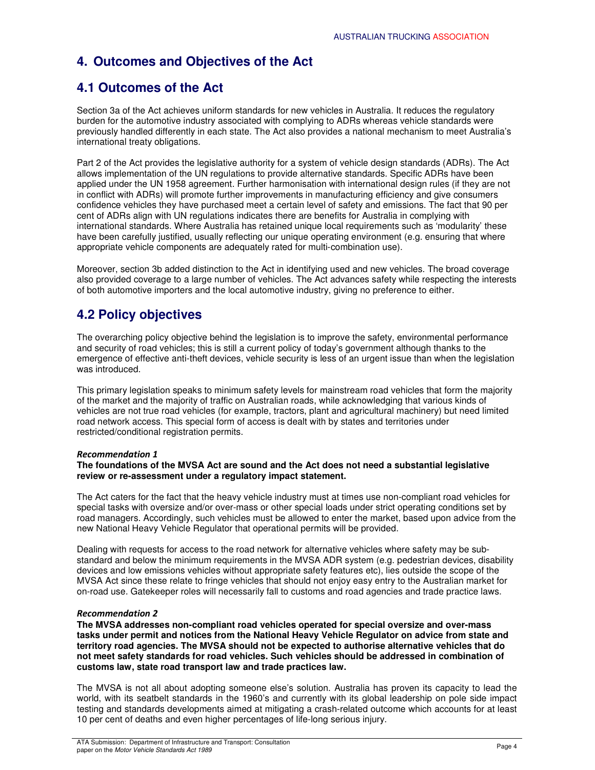# **4. Outcomes and Objectives of the Act**

## **4.1 Outcomes of the Act**

Section 3a of the Act achieves uniform standards for new vehicles in Australia. It reduces the regulatory burden for the automotive industry associated with complying to ADRs whereas vehicle standards were previously handled differently in each state. The Act also provides a national mechanism to meet Australia's international treaty obligations.

Part 2 of the Act provides the legislative authority for a system of vehicle design standards (ADRs). The Act allows implementation of the UN regulations to provide alternative standards. Specific ADRs have been applied under the UN 1958 agreement. Further harmonisation with international design rules (if they are not in conflict with ADRs) will promote further improvements in manufacturing efficiency and give consumers confidence vehicles they have purchased meet a certain level of safety and emissions. The fact that 90 per cent of ADRs align with UN regulations indicates there are benefits for Australia in complying with international standards. Where Australia has retained unique local requirements such as 'modularity' these have been carefully justified, usually reflecting our unique operating environment (e.g. ensuring that where appropriate vehicle components are adequately rated for multi-combination use).

Moreover, section 3b added distinction to the Act in identifying used and new vehicles. The broad coverage also provided coverage to a large number of vehicles. The Act advances safety while respecting the interests of both automotive importers and the local automotive industry, giving no preference to either.

# **4.2 Policy objectives**

The overarching policy objective behind the legislation is to improve the safety, environmental performance and security of road vehicles; this is still a current policy of today's government although thanks to the emergence of effective anti-theft devices, vehicle security is less of an urgent issue than when the legislation was introduced.

This primary legislation speaks to minimum safety levels for mainstream road vehicles that form the majority of the market and the majority of traffic on Australian roads, while acknowledging that various kinds of vehicles are not true road vehicles (for example, tractors, plant and agricultural machinery) but need limited road network access. This special form of access is dealt with by states and territories under restricted/conditional registration permits.

## *Recommendation 1*

## **The foundations of the MVSA Act are sound and the Act does not need a substantial legislative review or re-assessment under a regulatory impact statement.**

The Act caters for the fact that the heavy vehicle industry must at times use non-compliant road vehicles for special tasks with oversize and/or over-mass or other special loads under strict operating conditions set by road managers. Accordingly, such vehicles must be allowed to enter the market, based upon advice from the new National Heavy Vehicle Regulator that operational permits will be provided.

Dealing with requests for access to the road network for alternative vehicles where safety may be substandard and below the minimum requirements in the MVSA ADR system (e.g. pedestrian devices, disability devices and low emissions vehicles without appropriate safety features etc), lies outside the scope of the MVSA Act since these relate to fringe vehicles that should not enjoy easy entry to the Australian market for on-road use. Gatekeeper roles will necessarily fall to customs and road agencies and trade practice laws.

### *Recommendation 2*

**The MVSA addresses non-compliant road vehicles operated for special oversize and over-mass tasks under permit and notices from the National Heavy Vehicle Regulator on advice from state and territory road agencies. The MVSA should not be expected to authorise alternative vehicles that do not meet safety standards for road vehicles. Such vehicles should be addressed in combination of customs law, state road transport law and trade practices law.** 

The MVSA is not all about adopting someone else's solution. Australia has proven its capacity to lead the world, with its seatbelt standards in the 1960's and currently with its global leadership on pole side impact testing and standards developments aimed at mitigating a crash-related outcome which accounts for at least 10 per cent of deaths and even higher percentages of life-long serious injury.